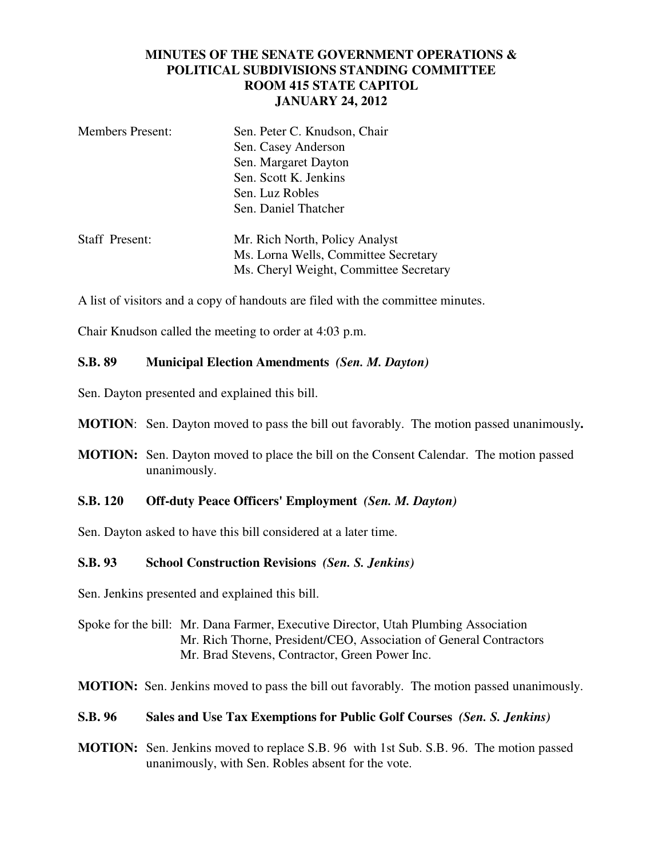# **MINUTES OF THE SENATE GOVERNMENT OPERATIONS & POLITICAL SUBDIVISIONS STANDING COMMITTEE ROOM 415 STATE CAPITOL JANUARY 24, 2012**

| <b>Members Present:</b> | Sen. Peter C. Knudson, Chair<br>Sen. Casey Anderson<br>Sen. Margaret Dayton<br>Sen. Scott K. Jenkins<br>Sen. Luz Robles<br>Sen. Daniel Thatcher |
|-------------------------|-------------------------------------------------------------------------------------------------------------------------------------------------|
| <b>Staff Present:</b>   | Mr. Rich North, Policy Analyst<br>Ms. Lorna Wells, Committee Secretary<br>Ms. Cheryl Weight, Committee Secretary                                |

A list of visitors and a copy of handouts are filed with the committee minutes.

Chair Knudson called the meeting to order at 4:03 p.m.

### **S.B. 89 Municipal Election Amendments** *(Sen. M. Dayton)*

Sen. Dayton presented and explained this bill.

**MOTION**: Sen. Dayton moved to pass the bill out favorably. The motion passed unanimously**.**

**MOTION:** Sen. Dayton moved to place the bill on the Consent Calendar. The motion passed unanimously.

#### **S.B. 120 Off-duty Peace Officers' Employment** *(Sen. M. Dayton)*

Sen. Dayton asked to have this bill considered at a later time.

### **S.B. 93 School Construction Revisions** *(Sen. S. Jenkins)*

Sen. Jenkins presented and explained this bill.

Spoke for the bill: Mr. Dana Farmer, Executive Director, Utah Plumbing Association Mr. Rich Thorne, President/CEO, Association of General Contractors Mr. Brad Stevens, Contractor, Green Power Inc.

**MOTION:** Sen. Jenkins moved to pass the bill out favorably. The motion passed unanimously.

### **S.B. 96 Sales and Use Tax Exemptions for Public Golf Courses** *(Sen. S. Jenkins)*

**MOTION:** Sen. Jenkins moved to replace S.B. 96 with 1st Sub. S.B. 96. The motion passed unanimously, with Sen. Robles absent for the vote.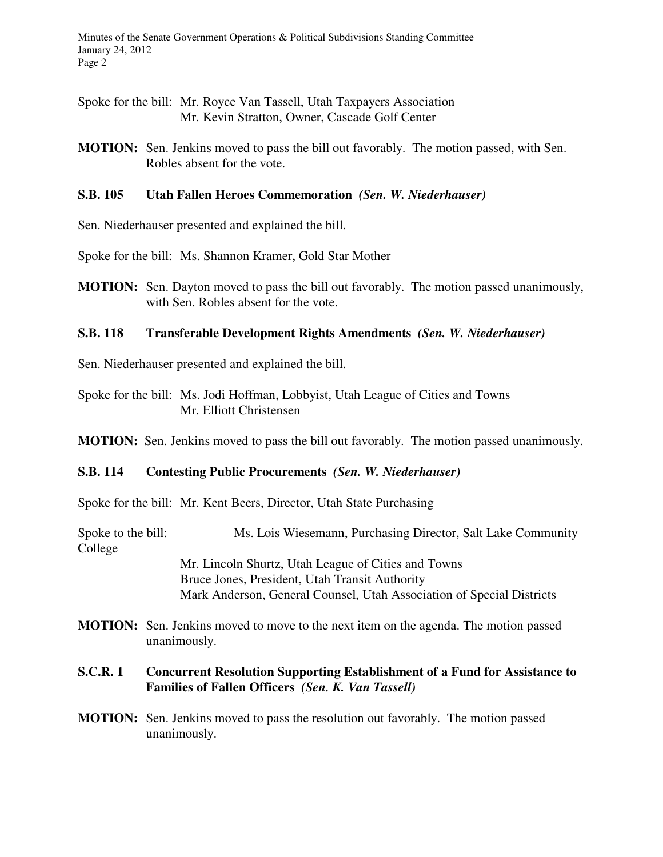Spoke for the bill: Mr. Royce Van Tassell, Utah Taxpayers Association Mr. Kevin Stratton, Owner, Cascade Golf Center

**MOTION:** Sen. Jenkins moved to pass the bill out favorably. The motion passed, with Sen. Robles absent for the vote.

# **S.B. 105 Utah Fallen Heroes Commemoration** *(Sen. W. Niederhauser)*

Sen. Niederhauser presented and explained the bill.

Spoke for the bill: Ms. Shannon Kramer, Gold Star Mother

**MOTION:** Sen. Dayton moved to pass the bill out favorably. The motion passed unanimously, with Sen. Robles absent for the vote.

# **S.B. 118 Transferable Development Rights Amendments** *(Sen. W. Niederhauser)*

Sen. Niederhauser presented and explained the bill.

Spoke for the bill: Ms. Jodi Hoffman, Lobbyist, Utah League of Cities and Towns Mr. Elliott Christensen

**MOTION:** Sen. Jenkins moved to pass the bill out favorably. The motion passed unanimously.

### **S.B. 114 Contesting Public Procurements** *(Sen. W. Niederhauser)*

Spoke for the bill: Mr. Kent Beers, Director, Utah State Purchasing

Spoke to the bill: Ms. Lois Wiesemann, Purchasing Director, Salt Lake Community College Mr. Lincoln Shurtz, Utah League of Cities and Towns Bruce Jones, President, Utah Transit Authority Mark Anderson, General Counsel, Utah Association of Special Districts

**MOTION:** Sen. Jenkins moved to move to the next item on the agenda. The motion passed unanimously.

# **S.C.R. 1 Concurrent Resolution Supporting Establishment of a Fund for Assistance to Families of Fallen Officers** *(Sen. K. Van Tassell)*

**MOTION:** Sen. Jenkins moved to pass the resolution out favorably. The motion passed unanimously.